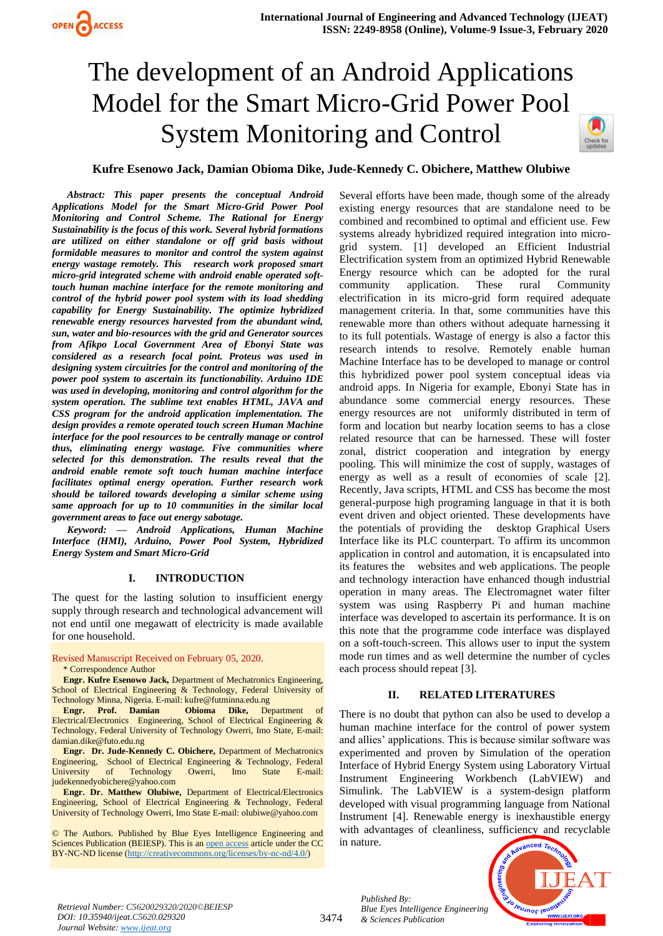# The development of an Android Applications Model for the Smart Micro-Grid Power Pool System Monitoring and Control



# **Kufre Esenowo Jack, Damian Obioma Dike, Jude-Kennedy C. Obichere, Matthew Olubiwe**

*Abstract: This paper presents the conceptual Android Applications Model for the Smart Micro-Grid Power Pool Monitoring and Control Scheme. The Rational for Energy Sustainability is the focus of this work. Several hybrid formations are utilized on either standalone or off grid basis without formidable measures to monitor and control the system against energy wastage remotely. This research work proposed smart micro-grid integrated scheme with android enable operated softtouch human machine interface for the remote monitoring and control of the hybrid power pool system with its load shedding capability for Energy Sustainability. The optimize hybridized renewable energy resources harvested from the abundant wind, sun, water and bio-resources with the grid and Generator sources from Afikpo Local Government Area of Ebonyi State was considered as a research focal point. Proteus was used in designing system circuitries for the control and monitoring of the power pool system to ascertain its functionability. Arduino IDE was used in developing, monitoring and control algorithm for the system operation. The sublime text enables HTML, JAVA and CSS program for the android application implementation. The design provides a remote operated touch screen Human Machine interface for the pool resources to be centrally manage or control thus, eliminating energy wastage. Five communities where selected for this demonstration. The results reveal that the android enable remote soft touch human machine interface facilitates optimal energy operation. Further research work should be tailored towards developing a similar scheme using same approach for up to 10 communities in the similar local government areas to face out energy sabotage.*

*Keyword: — Android Applications, Human Machine Interface (HMI), Arduino, Power Pool System, Hybridized Energy System and Smart Micro-Grid*

### **I. INTRODUCTION**

The quest for the lasting solution to insufficient energy supply through research and technological advancement will not end until one megawatt of electricity is made available for one household.

Revised Manuscript Received on February 05, 2020.

\* Correspondence Author

**Engr. Kufre Esenowo Jack,** Department of Mechatronics Engineering, School of Electrical Engineering & Technology, Federal University of Technology Minna, Nigeria. E-mail[: kufre@futminna.edu.ng](mailto:kufre@futminna.edu.ng) 

**Engr. Prof. Damian Obioma Dike,** Department of Electrical/Electronics Engineering, School of Electrical Engineering & Technology, Federal University of Technology Owerri, Imo State, E-mail: [damian.dike@futo.edu.ng](mailto:damian.dike@futo.edu.ng) 

**Engr. Dr. Jude-Kennedy C. Obichere,** Department of Mechatronics Engineering, School of Electrical Engineering & Technology, Federal University of Technology Owerri, Imo State E-mail: [judekennedyobichere@yahoo.com](mailto:judekennedyobichere@yahoo.com) 

**Engr. Dr. Matthew Olubiwe,** Department of Electrical/Electronics Engineering, School of Electrical Engineering & Technology, Federal University of Technology Owerri, Imo State E-mail[: olubiwe@yahoo.com](mailto:olubiwe@yahoo.com) 

© The Authors. Published by Blue Eyes Intelligence Engineering and Sciences Publication (BEIESP). This is a[n open access](https://www.openaccess.nl/en/open-publications) article under the CC BY-NC-ND license [\(http://creativecommons.org/licenses/by-nc-nd/4.0/\)](http://creativecommons.org/licenses/by-nc-nd/4.0/)

Several efforts have been made, though some of the already existing energy resources that are standalone need to be combined and recombined to optimal and efficient use. Few systems already hybridized required integration into microgrid system. [1] developed an Efficient Industrial Electrification system from an optimized Hybrid Renewable Energy resource which can be adopted for the rural community application. These rural Community electrification in its micro-grid form required adequate management criteria. In that, some communities have this renewable more than others without adequate harnessing it to its full potentials. Wastage of energy is also a factor this research intends to resolve. Remotely enable human Machine Interface has to be developed to manage or control this hybridized power pool system conceptual ideas via android apps. In Nigeria for example, Ebonyi State has in abundance some commercial energy resources. These energy resources are not uniformly distributed in term of form and location but nearby location seems to has a close related resource that can be harnessed. These will foster zonal, district cooperation and integration by energy pooling. This will minimize the cost of supply, wastages of energy as well as a result of economies of scale [2]. Recently, Java scripts, HTML and CSS has become the most general-purpose high programing language in that it is both event driven and object oriented. These developments have the potentials of providing the desktop Graphical Users Interface like its PLC counterpart. To affirm its uncommon application in control and automation, it is encapsulated into its features the websites and web applications. The people and technology interaction have enhanced though industrial operation in many areas. The Electromagnet water filter system was using Raspberry Pi and human machine interface was developed to ascertain its performance. It is on this note that the programme code interface was displayed on a soft-touch-screen. This allows user to input the system mode run times and as well determine the number of cycles each process should repeat [3].

### **II. RELATED LITERATURES**

There is no doubt that python can also be used to develop a human machine interface for the control of power system and allies' applications. This is because similar software was experimented and proven by Simulation of the operation Interface of Hybrid Energy System using Laboratory Virtual Instrument Engineering Workbench (LabVIEW) and Simulink. The LabVIEW is a system-design platform developed with visual programming language from National Instrument [4]. Renewable energy is inexhaustible energy with advantages of cleanliness, sufficiency and recyclable in nature.



*Retrieval Number: C5620029320/2020©BEIESP DOI: 10.35940/ijeat.C5620.029320 Journal Website[: www.ijeat.org](http://www.ijeat.org/)*

*Published By:*

*& Sciences Publication*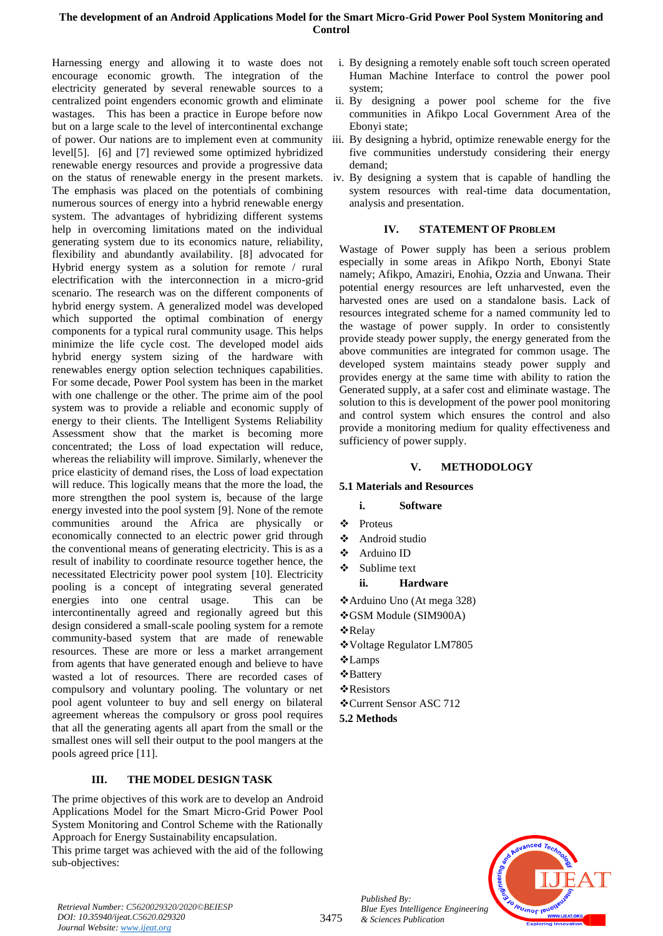Harnessing energy and allowing it to waste does not encourage economic growth. The integration of the electricity generated by several renewable sources to a centralized point engenders economic growth and eliminate wastages. This has been a practice in Europe before now but on a large scale to the level of intercontinental exchange of power. Our nations are to implement even at community level[5]. [6] and [7] reviewed some optimized hybridized renewable energy resources and provide a progressive data on the status of renewable energy in the present markets. The emphasis was placed on the potentials of combining numerous sources of energy into a hybrid renewable energy system. The advantages of hybridizing different systems help in overcoming limitations mated on the individual generating system due to its economics nature, reliability, flexibility and abundantly availability. [8] advocated for Hybrid energy system as a solution for remote / rural electrification with the interconnection in a micro-grid scenario. The research was on the different components of hybrid energy system. A generalized model was developed which supported the optimal combination of energy components for a typical rural community usage. This helps minimize the life cycle cost. The developed model aids hybrid energy system sizing of the hardware with renewables energy option selection techniques capabilities. For some decade, Power Pool system has been in the market with one challenge or the other. The prime aim of the pool system was to provide a reliable and economic supply of energy to their clients. The Intelligent Systems Reliability Assessment show that the market is becoming more concentrated; the Loss of load expectation will reduce, whereas the reliability will improve. Similarly, whenever the price elasticity of demand rises, the Loss of load expectation will reduce. This logically means that the more the load, the more strengthen the pool system is, because of the large energy invested into the pool system [9]. None of the remote communities around the Africa are physically or economically connected to an electric power grid through the conventional means of generating electricity. This is as a result of inability to coordinate resource together hence, the necessitated Electricity power pool system [10]. Electricity pooling is a concept of integrating several generated energies into one central usage. This can be intercontinentally agreed and regionally agreed but this design considered a small-scale pooling system for a remote community-based system that are made of renewable resources. These are more or less a market arrangement from agents that have generated enough and believe to have wasted a lot of resources. There are recorded cases of compulsory and voluntary pooling. The voluntary or net pool agent volunteer to buy and sell energy on bilateral agreement whereas the compulsory or gross pool requires that all the generating agents all apart from the small or the smallest ones will sell their output to the pool mangers at the pools agreed price [11].

# **III. THE MODEL DESIGN TASK**

The prime objectives of this work are to develop an Android Applications Model for the Smart Micro-Grid Power Pool System Monitoring and Control Scheme with the Rationally Approach for Energy Sustainability encapsulation.

This prime target was achieved with the aid of the following sub-objectives:

- i. By designing a remotely enable soft touch screen operated Human Machine Interface to control the power pool system;
- ii. By designing a power pool scheme for the five communities in Afikpo Local Government Area of the Ebonyi state;
- iii. By designing a hybrid, optimize renewable energy for the five communities understudy considering their energy demand;
- iv. By designing a system that is capable of handling the system resources with real-time data documentation, analysis and presentation.

### **IV. STATEMENT OF PROBLEM**

Wastage of Power supply has been a serious problem especially in some areas in Afikpo North, Ebonyi State namely; Afikpo, Amaziri, Enohia, Ozzia and Unwana. Their potential energy resources are left unharvested, even the harvested ones are used on a standalone basis. Lack of resources integrated scheme for a named community led to the wastage of power supply. In order to consistently provide steady power supply, the energy generated from the above communities are integrated for common usage. The developed system maintains steady power supply and provides energy at the same time with ability to ration the Generated supply, at a safer cost and eliminate wastage. The solution to this is development of the power pool monitoring and control system which ensures the control and also provide a monitoring medium for quality effectiveness and sufficiency of power supply.

#### **V. METHODOLOGY**

#### **5.1 Materials and Resources**

### **i. Software**

- ❖ Proteus
- ❖ Android studio
- ❖ Arduino ID
- ❖ Sublime text
	- **ii. Hardware**
- ❖Arduino Uno (At mega 328)
- ❖GSM Module (SIM900A)
- ❖Relay
- ❖Voltage Regulator LM7805
- ❖Lamps
- ❖Battery
- ❖Resistors
- ❖Current Sensor ASC 712

**5.2 Methods**



*Retrieval Number: C5620029320/2020©BEIESP DOI: 10.35940/ijeat.C5620.029320 Journal Website[: www.ijeat.org](http://www.ijeat.org/)*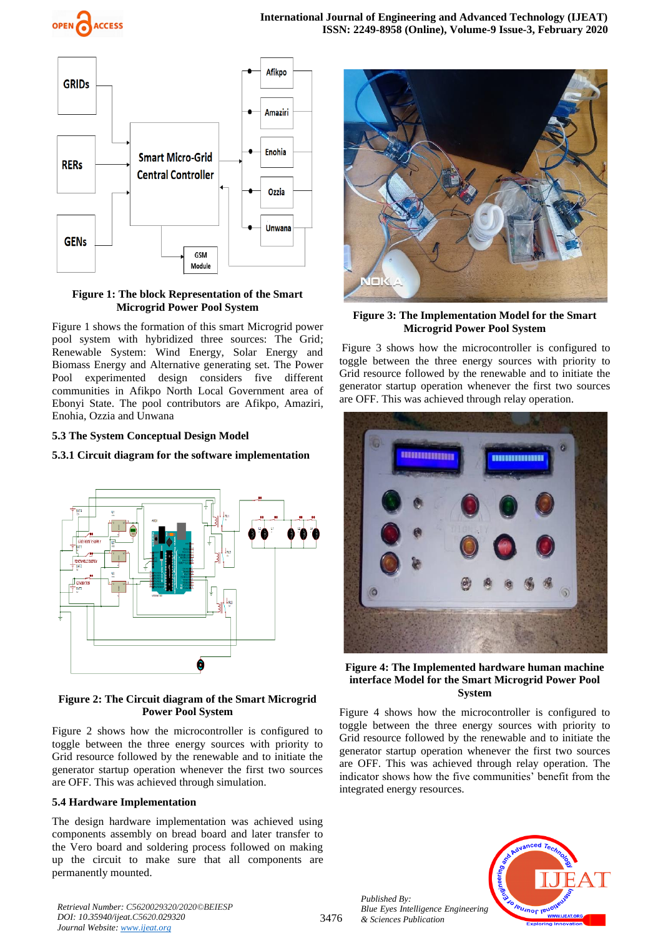



### **Figure 1: The block Representation of the Smart Microgrid Power Pool System**

Figure 1 shows the formation of this smart Microgrid power pool system with hybridized three sources: The Grid; Renewable System: Wind Energy, Solar Energy and Biomass Energy and Alternative generating set. The Power Pool experimented design considers five different communities in Afikpo North Local Government area of Ebonyi State. The pool contributors are Afikpo, Amaziri, Enohia, Ozzia and Unwana

# **5.3 The System Conceptual Design Model**

# **5.3.1 Circuit diagram for the software implementation**



# **Figure 2: The Circuit diagram of the Smart Microgrid Power Pool System**

Figure 2 shows how the microcontroller is configured to toggle between the three energy sources with priority to Grid resource followed by the renewable and to initiate the generator startup operation whenever the first two sources are OFF. This was achieved through simulation.

# **5.4 Hardware Implementation**

The design hardware implementation was achieved using components assembly on bread board and later transfer to the Vero board and soldering process followed on making up the circuit to make sure that all components are permanently mounted.



### **Figure 3: The Implementation Model for the Smart Microgrid Power Pool System**

Figure 3 shows how the microcontroller is configured to toggle between the three energy sources with priority to Grid resource followed by the renewable and to initiate the generator startup operation whenever the first two sources are OFF. This was achieved through relay operation.



# **Figure 4: The Implemented hardware human machine interface Model for the Smart Microgrid Power Pool System**

Figure 4 shows how the microcontroller is configured to toggle between the three energy sources with priority to Grid resource followed by the renewable and to initiate the generator startup operation whenever the first two sources are OFF. This was achieved through relay operation. The indicator shows how the five communities' benefit from the integrated energy resources.

*Published By: Blue Eyes Intelligence Engineering & Sciences Publication* 



*Retrieval Number: C5620029320/2020©BEIESP DOI: 10.35940/ijeat.C5620.029320 Journal Website[: www.ijeat.org](http://www.ijeat.org/)*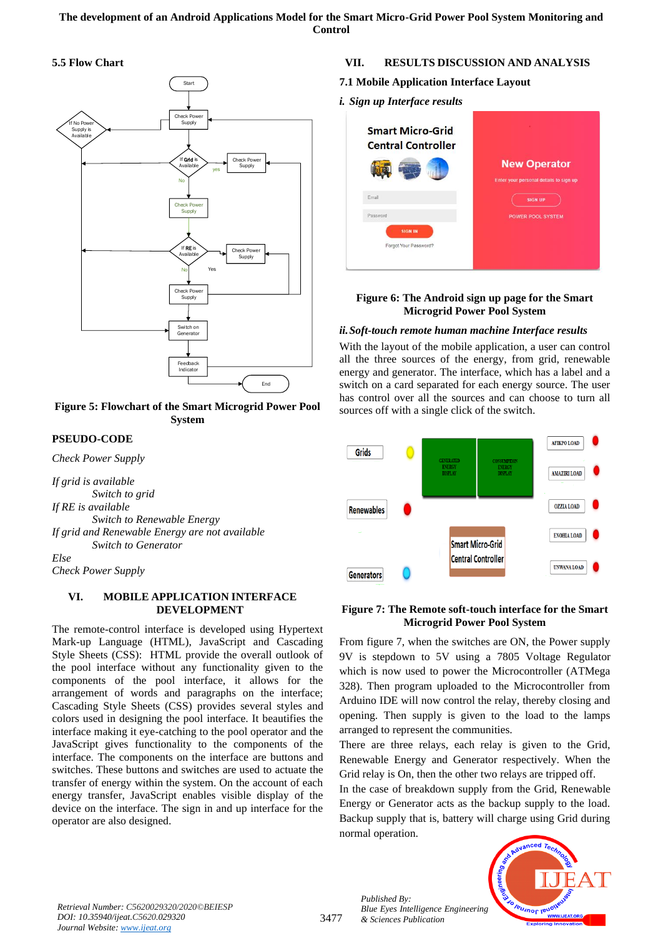# **5.5 Flow Chart**





# **PSEUDO-CODE**

*Check Power Supply*

*If grid is available Switch to grid If RE is available Switch to Renewable Energy If grid and Renewable Energy are not available Switch to Generator*

*Else Check Power Supply*

# **VI. MOBILE APPLICATION INTERFACE DEVELOPMENT**

The remote-control interface is developed using Hypertext Mark-up Language (HTML), JavaScript and Cascading Style Sheets (CSS): HTML provide the overall outlook of the pool interface without any functionality given to the components of the pool interface, it allows for the arrangement of words and paragraphs on the interface; Cascading Style Sheets (CSS) provides several styles and colors used in designing the pool interface. It beautifies the interface making it eye-catching to the pool operator and the JavaScript gives functionality to the components of the interface. The components on the interface are buttons and switches. These buttons and switches are used to actuate the transfer of energy within the system. On the account of each energy transfer, JavaScript enables visible display of the device on the interface. The sign in and up interface for the operator are also designed.

# **VII. RESULTS DISCUSSION AND ANALYSIS**

# **7.1 Mobile Application Interface Layout**

*i. Sign up Interface results*



# **Figure 6: The Android sign up page for the Smart Microgrid Power Pool System**

# *ii.Soft-touch remote human machine Interface results*

With the layout of the mobile application, a user can control all the three sources of the energy, from grid, renewable energy and generator. The interface, which has a label and a switch on a card separated for each energy source. The user has control over all the sources and can choose to turn all sources off with a single click of the switch.



# **Figure 7: The Remote soft-touch interface for the Smart Microgrid Power Pool System**

From figure 7, when the switches are ON, the Power supply 9V is stepdown to 5V using a 7805 Voltage Regulator which is now used to power the Microcontroller (ATMega 328). Then program uploaded to the Microcontroller from Arduino IDE will now control the relay, thereby closing and opening. Then supply is given to the load to the lamps arranged to represent the communities.

There are three relays, each relay is given to the Grid, Renewable Energy and Generator respectively. When the Grid relay is On, then the other two relays are tripped off.

In the case of breakdown supply from the Grid, Renewable Energy or Generator acts as the backup supply to the load. Backup supply that is, battery will charge using Grid during normal operation.



*Retrieval Number: C5620029320/2020©BEIESP DOI: 10.35940/ijeat.C5620.029320 Journal Website[: www.ijeat.org](http://www.ijeat.org/)*

3477

*Published By: Blue Eyes Intelligence Engineering & Sciences Publication*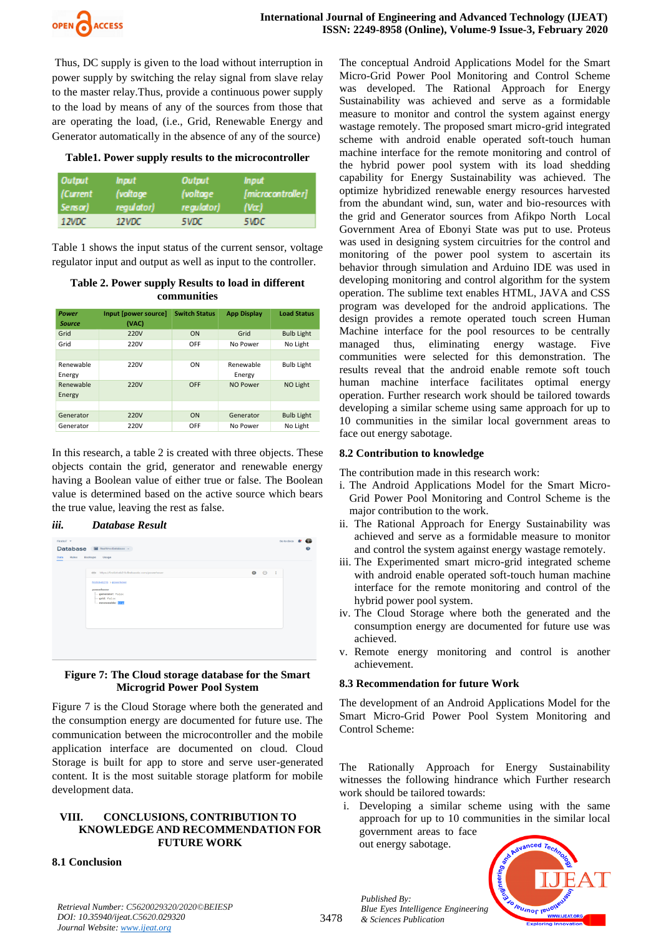

Thus, DC supply is given to the load without interruption in power supply by switching the relay signal from slave relay to the master relay.Thus, provide a continuous power supply to the load by means of any of the sources from those that are operating the load, (i.e., Grid, Renewable Energy and Generator automatically in the absence of any of the source)

### **Table1. Power supply results to the microcontroller**

| <b>Output</b>       | <i><b>Input</b></i>    | Output                        | <i><b>Input</b></i>                      |
|---------------------|------------------------|-------------------------------|------------------------------------------|
| (Current<br>Sensor) | (voltage<br>regulator) | (voltage)<br><i>regulator</i> | <i><b>Imicrocontroller1</b></i><br>(Var) |
| 12VDC               | 12VDC                  | 5VDC                          | 5WDC.                                    |

Table 1 shows the input status of the current sensor, voltage regulator input and output as well as input to the controller.

# **Table 2. Power supply Results to load in different communities**

| Power<br><b>Source</b> | Input [power source]<br>(VAC) | <b>Switch Status</b> | <b>App Display</b> | <b>Load Status</b> |
|------------------------|-------------------------------|----------------------|--------------------|--------------------|
| Grid                   | 220V                          | ON                   | Grid               | <b>Bulb Light</b>  |
| Grid                   | 220V                          | OFF                  | No Power           | No Light           |
|                        |                               |                      |                    |                    |
| Renewable              | 220V                          | ON                   | Renewable          | <b>Bulb Light</b>  |
| Energy                 |                               |                      | Energy             |                    |
| Renewable              | 220V                          | OFF                  | NO Power           | <b>NO Light</b>    |
| Energy                 |                               |                      |                    |                    |
|                        |                               |                      |                    |                    |
| Generator              | 220V                          | ON                   | Generator          | <b>Bulb Light</b>  |
| Generator              | 220V                          | OFF                  | No Power           | No Light           |

In this research, a table 2 is created with three objects. These objects contain the grid, generator and renewable energy having a Boolean value of either true or false. The Boolean value is determined based on the active source which bears the true value, leaving the rest as false.

### *iii. Database Result*



### **Figure 7: The Cloud storage database for the Smart Microgrid Power Pool System**

Figure 7 is the Cloud Storage where both the generated and the consumption energy are documented for future use. The communication between the microcontroller and the mobile application interface are documented on cloud. Cloud Storage is built for app to store and serve user-generated content. It is the most suitable storage platform for mobile development data.

### **VIII. CONCLUSIONS, CONTRIBUTION TO KNOWLEDGE AND RECOMMENDATION FOR FUTURE WORK**

### **8.1 Conclusion**

The conceptual Android Applications Model for the Smart Micro-Grid Power Pool Monitoring and Control Scheme was developed. The Rational Approach for Energy Sustainability was achieved and serve as a formidable measure to monitor and control the system against energy wastage remotely. The proposed smart micro-grid integrated scheme with android enable operated soft-touch human machine interface for the remote monitoring and control of the hybrid power pool system with its load shedding capability for Energy Sustainability was achieved. The optimize hybridized renewable energy resources harvested from the abundant wind, sun, water and bio-resources with the grid and Generator sources from Afikpo North Local Government Area of Ebonyi State was put to use. Proteus was used in designing system circuitries for the control and monitoring of the power pool system to ascertain its behavior through simulation and Arduino IDE was used in developing monitoring and control algorithm for the system operation. The sublime text enables HTML, JAVA and CSS program was developed for the android applications. The design provides a remote operated touch screen Human Machine interface for the pool resources to be centrally managed thus, eliminating energy wastage. Five communities were selected for this demonstration. The results reveal that the android enable remote soft touch human machine interface facilitates optimal energy operation. Further research work should be tailored towards developing a similar scheme using same approach for up to 10 communities in the similar local government areas to face out energy sabotage.

### **8.2 Contribution to knowledge**

The contribution made in this research work:

- i. The Android Applications Model for the Smart Micro-Grid Power Pool Monitoring and Control Scheme is the major contribution to the work.
- ii. The Rational Approach for Energy Sustainability was achieved and serve as a formidable measure to monitor and control the system against energy wastage remotely.
- iii. The Experimented smart micro-grid integrated scheme with android enable operated soft-touch human machine interface for the remote monitoring and control of the hybrid power pool system.
- iv. The Cloud Storage where both the generated and the consumption energy are documented for future use was achieved.
- v. Remote energy monitoring and control is another achievement.

### **8.3 Recommendation for future Work**

The development of an Android Applications Model for the Smart Micro-Grid Power Pool System Monitoring and Control Scheme:

The Rationally Approach for Energy Sustainability witnesses the following hindrance which Further research work should be tailored towards:

i. Developing a similar scheme using with the same approach for up to 10 communities in the similar local government areas to face out energy sabotage.



*Retrieval Number: C5620029320/2020©BEIESP DOI: 10.35940/ijeat.C5620.029320 Journal Website[: www.ijeat.org](http://www.ijeat.org/)*

*Published By: Blue Eyes Intelligence Engineering & Sciences Publication*